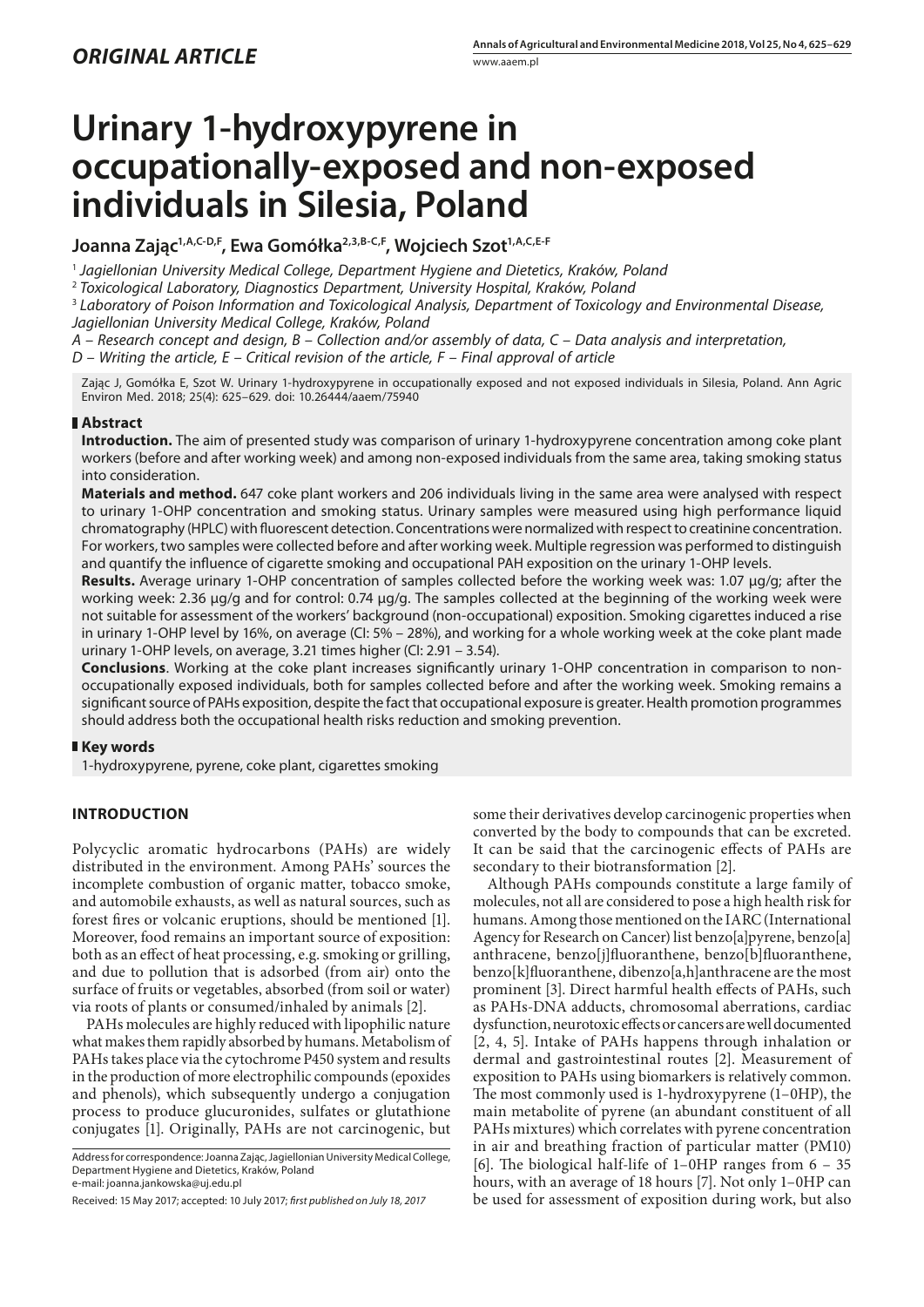# **Urinary 1-hydroxypyrene in occupationally-exposed and non-exposed individuals in Silesia, Poland**

Joanna Zając<sup>1, A, C-D, F, Ewa Gomółka<sup>2, 3, B-C, F</sup>, Wojciech Szot<sup>1, A, C, E-F</sup></sup>

<sup>1</sup> *Jagiellonian University Medical College, Department Hygiene and Dietetics, Kraków, Poland*

<sup>2</sup> *Toxicological Laboratory, Diagnostics Department, University Hospital, Kraków, Poland*

<sup>3</sup> *Laboratory of Poison Information and Toxicological Analysis, Department of Toxicology and Environmental Disease, Jagiellonian University Medical College, Kraków, Poland*

*A – Research concept and design, B – Collection and/or assembly of data, C – Data analysis and interpretation,* 

*D – Writing the article, E – Critical revision of the article, F – Final approval of article*

Zając J, Gomółka E, Szot W. Urinary 1-hydroxypyrene in occupationally exposed and not exposed individuals in Silesia, Poland. Ann Agric Environ Med. 2018; 25(4): 625–629. doi: 10.26444/aaem/75940

## **Abstract**

**Introduction.** The aim of presented study was comparison of urinary 1-hydroxypyrene concentration among coke plant workers (before and after working week) and among non-exposed individuals from the same area, taking smoking status into consideration.

**Materials and method.** 647 coke plant workers and 206 individuals living in the same area were analysed with respect to urinary 1-OHP concentration and smoking status. Urinary samples were measured using high performance liquid chromatography (HPLC) with fluorescent detection. Concentrations were normalized with respect to creatinine concentration. For workers, two samples were collected before and after working week. Multiple regression was performed to distinguish and quantify the influence of cigarette smoking and occupational PAH exposition on the urinary 1-OHP levels.

**Results.** Average urinary 1-OHP concentration of samples collected before the working week was: 1.07 μg/g; after the working week: 2.36 μg/g and for control: 0.74 μg/g. The samples collected at the beginning of the working week were not suitable for assessment of the workers' background (non-occupational) exposition. Smoking cigarettes induced a rise in urinary 1-OHP level by 16%, on average (CI: 5% – 28%), and working for a whole working week at the coke plant made urinary 1-OHP levels, on average, 3.21 times higher (CI: 2.91 – 3.54).

**Conclusions**. Working at the coke plant increases significantly urinary 1-OHP concentration in comparison to nonoccupationally exposed individuals, both for samples collected before and after the working week. Smoking remains a significant source of PAHs exposition, despite the fact that occupational exposure is greater. Health promotion programmes should address both the occupational health risks reduction and smoking prevention.

# **Key words**

1-hydroxypyrene, pyrene, coke plant, cigarettes smoking

# **INTRODUCTION**

Polycyclic aromatic hydrocarbons (PAHs) are widely distributed in the environment. Among PAHs' sources the incomplete combustion of organic matter, tobacco smoke, and automobile exhausts, as well as natural sources, such as forest fires or volcanic eruptions, should be mentioned [1]. Moreover, food remains an important source of exposition: both as an effect of heat processing, e.g. smoking or grilling, and due to pollution that is adsorbed (from air) onto the surface of fruits or vegetables, absorbed (from soil or water) via roots of plants or consumed/inhaled by animals [2].

PAHs molecules are highly reduced with lipophilic nature what makes them rapidly absorbed by humans. Metabolism of PAHs takes place via the cytochrome P450 system and results in the production of more electrophilic compounds (epoxides and phenols), which subsequently undergo a conjugation process to produce glucuronides, sulfates or glutathione conjugates [1]. Originally, PAHs are not carcinogenic, but

Address for correspondence: Joanna Zając, Jagiellonian University Medical College, Department Hygiene and Dietetics, Kraków, Poland e-mail: joanna.jankowska@uj.edu.pl

some their derivatives develop carcinogenic properties when converted by the body to compounds that can be excreted. It can be said that the carcinogenic effects of PAHs are secondary to their biotransformation [2].

Although PAHs compounds constitute a large family of molecules, not all are considered to pose a high health risk for humans. Among those mentioned on the IARC (International Agency for Research on Cancer) list benzo[a]pyrene, benzo[a] anthracene, benzo[j]fluoranthene, benzo[b]fluoranthene, benzo[k]fluoranthene, dibenzo[a,h]anthracene are the most prominent [3]. Direct harmful health effects of PAHs, such as PAHs-DNA adducts, chromosomal aberrations, cardiac dysfunction, neurotoxic effects or cancers are well documented [2, 4, 5]. Intake of PAHs happens through inhalation or dermal and gastrointestinal routes [2]. Measurement of exposition to PAHs using biomarkers is relatively common. The most commonly used is 1-hydroxypyrene (1–0HP), the main metabolite of pyrene (an abundant constituent of all PAHs mixtures) which correlates with pyrene concentration in air and breathing fraction of particular matter (PM10) [6]. The biological half-life of 1–0HP ranges from 6 – 35 hours, with an average of 18 hours [7]. Not only 1–0HP can be used for assessment of exposition during work, but also

Received: 15 May 2017; accepted: 10 July 2017; *first published on July 18, 2017*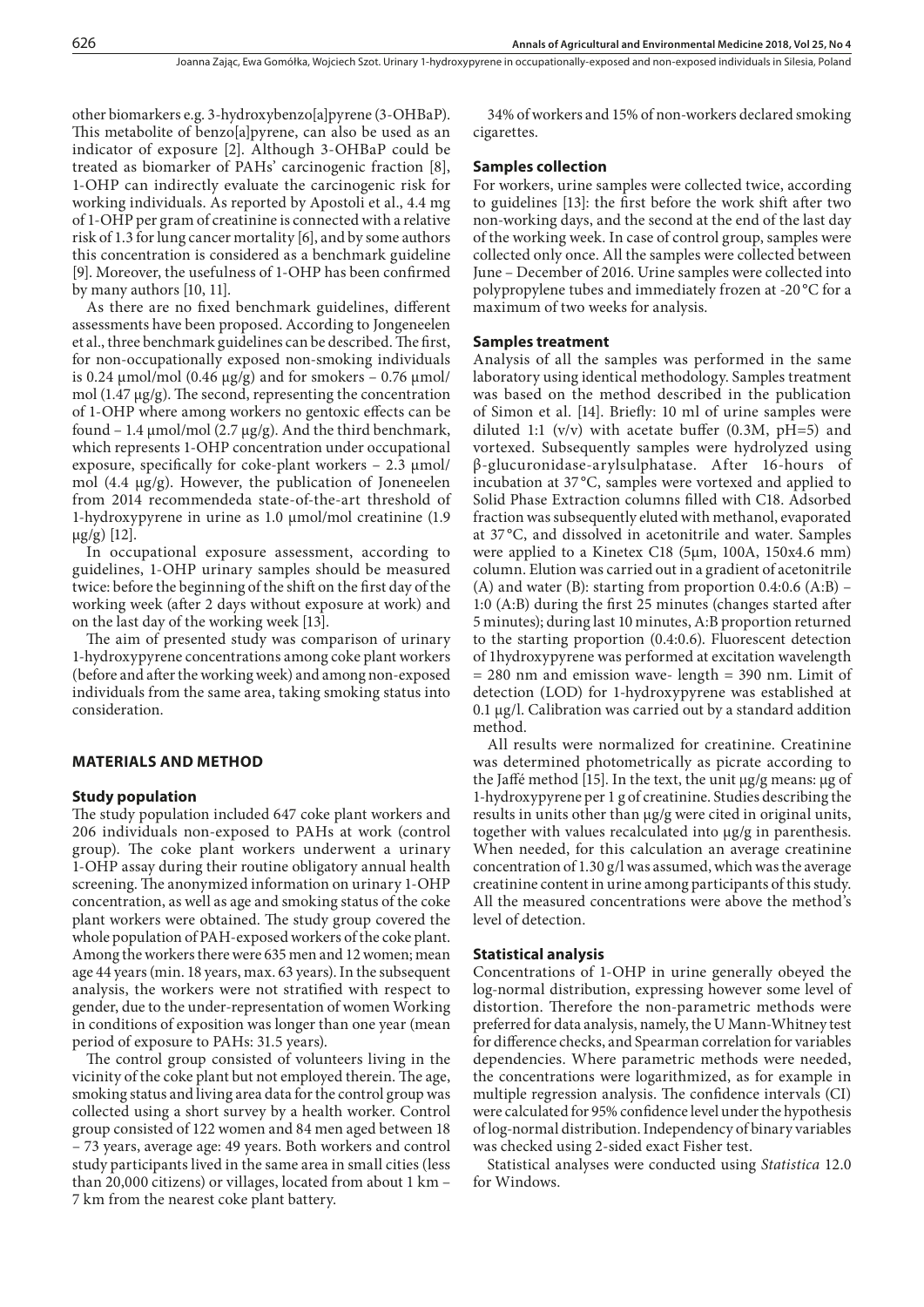other biomarkers e.g. 3-hydroxybenzo[a]pyrene (3-OHBaP). This metabolite of benzo[a]pyrene, can also be used as an indicator of exposure [2]. Although 3-OHBaP could be treated as biomarker of PAHs' carcinogenic fraction [8], 1-OHP can indirectly evaluate the carcinogenic risk for working individuals. As reported by Apostoli et al., 4.4 mg of 1-OHP per gram of creatinine is connected with a relative risk of 1.3 for lung cancer mortality [6], and by some authors this concentration is considered as a benchmark guideline [9]. Moreover, the usefulness of 1-OHP has been confirmed by many authors [10, 11].

As there are no fixed benchmark guidelines, different assessments have been proposed. According to Jongeneelen et al., three benchmark guidelines can be described. The first, for non-occupationally exposed non-smoking individuals is 0.24  $\mu$ mol/mol (0.46  $\mu$ g/g) and for smokers – 0.76  $\mu$ mol/ mol (1.47 μg/g). The second, representing the concentration of 1-OHP where among workers no gentoxic effects can be found – 1.4  $\mu$ mol/mol (2.7  $\mu$ g/g). And the third benchmark, which represents 1-OHP concentration under occupational exposure, specifically for coke-plant workers  $-2.3 \mu$ mol/ mol (4.4 μg/g). However, the publication of Joneneelen from 2014 recommendeda state-of-the-art threshold of 1-hydroxypyrene in urine as 1.0 μmol/mol creatinine (1.9  $μg/g)$  [12].

In occupational exposure assessment, according to guidelines, 1-OHP urinary samples should be measured twice: before the beginning of the shift on the first day of the working week (after 2 days without exposure at work) and on the last day of the working week [13].

The aim of presented study was comparison of urinary 1-hydroxypyrene concentrations among coke plant workers (before and after the working week) and among non-exposed individuals from the same area, taking smoking status into consideration.

## **MATERIALS AND METHOD**

# **Study population**

The study population included 647 coke plant workers and 206 individuals non-exposed to PAHs at work (control group). The coke plant workers underwent a urinary 1-OHP assay during their routine obligatory annual health screening. The anonymized information on urinary 1-OHP concentration, as well as age and smoking status of the coke plant workers were obtained. The study group covered the whole population of PAH-exposed workers of the coke plant. Among the workers there were 635 men and 12 women; mean age 44 years (min. 18 years, max. 63 years). In the subsequent analysis, the workers were not stratified with respect to gender, due to the under-representation of women Working in conditions of exposition was longer than one year (mean period of exposure to PAHs: 31.5 years).

The control group consisted of volunteers living in the vicinity of the coke plant but not employed therein. The age, smoking status and living area data for the control group was collected using a short survey by a health worker. Control group consisted of 122 women and 84 men aged between 18 – 73 years, average age: 49 years. Both workers and control study participants lived in the same area in small cities (less than 20,000 citizens) or villages, located from about 1 km – 7 km from the nearest coke plant battery.

34% of workers and 15% of non-workers declared smoking cigarettes.

#### **Samples collection**

For workers, urine samples were collected twice, according to guidelines [13]: the first before the work shift after two non-working days, and the second at the end of the last day of the working week. In case of control group, samples were collected only once. All the samples were collected between June – December of 2016. Urine samples were collected into polypropylene tubes and immediately frozen at -20 °C for a maximum of two weeks for analysis.

#### **Samples treatment**

Analysis of all the samples was performed in the same laboratory using identical methodology. Samples treatment was based on the method described in the publication of Simon et al. [14]. Briefly: 10 ml of urine samples were diluted 1:1 (v/v) with acetate buffer (0.3M,  $pH=5$ ) and vortexed. Subsequently samples were hydrolyzed using β-glucuronidase-arylsulphatase. After 16-hours of incubation at 37 °C, samples were vortexed and applied to Solid Phase Extraction columns filled with C18. Adsorbed fraction was subsequently eluted with methanol, evaporated at 37 °C, and dissolved in acetonitrile and water. Samples were applied to a Kinetex C18 (5μm, 100A, 150x4.6 mm) column. Elution was carried out in a gradient of acetonitrile (A) and water (B): starting from proportion  $0.4:0.6$  (A:B) – 1:0 (A:B) during the first 25 minutes (changes started after 5 minutes); during last 10 minutes, A:B proportion returned to the starting proportion (0.4:0.6). Fluorescent detection of 1hydroxypyrene was performed at excitation wavelength = 280 nm and emission wave- length = 390 nm. Limit of detection (LOD) for 1-hydroxypyrene was established at 0.1 μg/l. Calibration was carried out by a standard addition method.

All results were normalized for creatinine. Creatinine was determined photometrically as picrate according to the Jaffé method [15]. In the text, the unit μg/g means: μg of 1-hydroxypyrene per 1 g of creatinine. Studies describing the results in units other than μg/g were cited in original units, together with values recalculated into μg/g in parenthesis. When needed, for this calculation an average creatinine concentration of 1.30 g/l was assumed, which was the average creatinine content in urine among participants of this study. All the measured concentrations were above the method's level of detection.

#### **Statistical analysis**

Concentrations of 1-OHP in urine generally obeyed the log-normal distribution, expressing however some level of distortion. Therefore the non-parametric methods were preferred for data analysis, namely, the U Mann-Whitney test for difference checks, and Spearman correlation for variables dependencies. Where parametric methods were needed, the concentrations were logarithmized, as for example in multiple regression analysis. The confidence intervals (CI) were calculated for 95% confidence level under the hypothesis of log-normal distribution. Independency of binary variables was checked using 2-sided exact Fisher test.

Statistical analyses were conducted using *Statistica* 12.0 for Windows.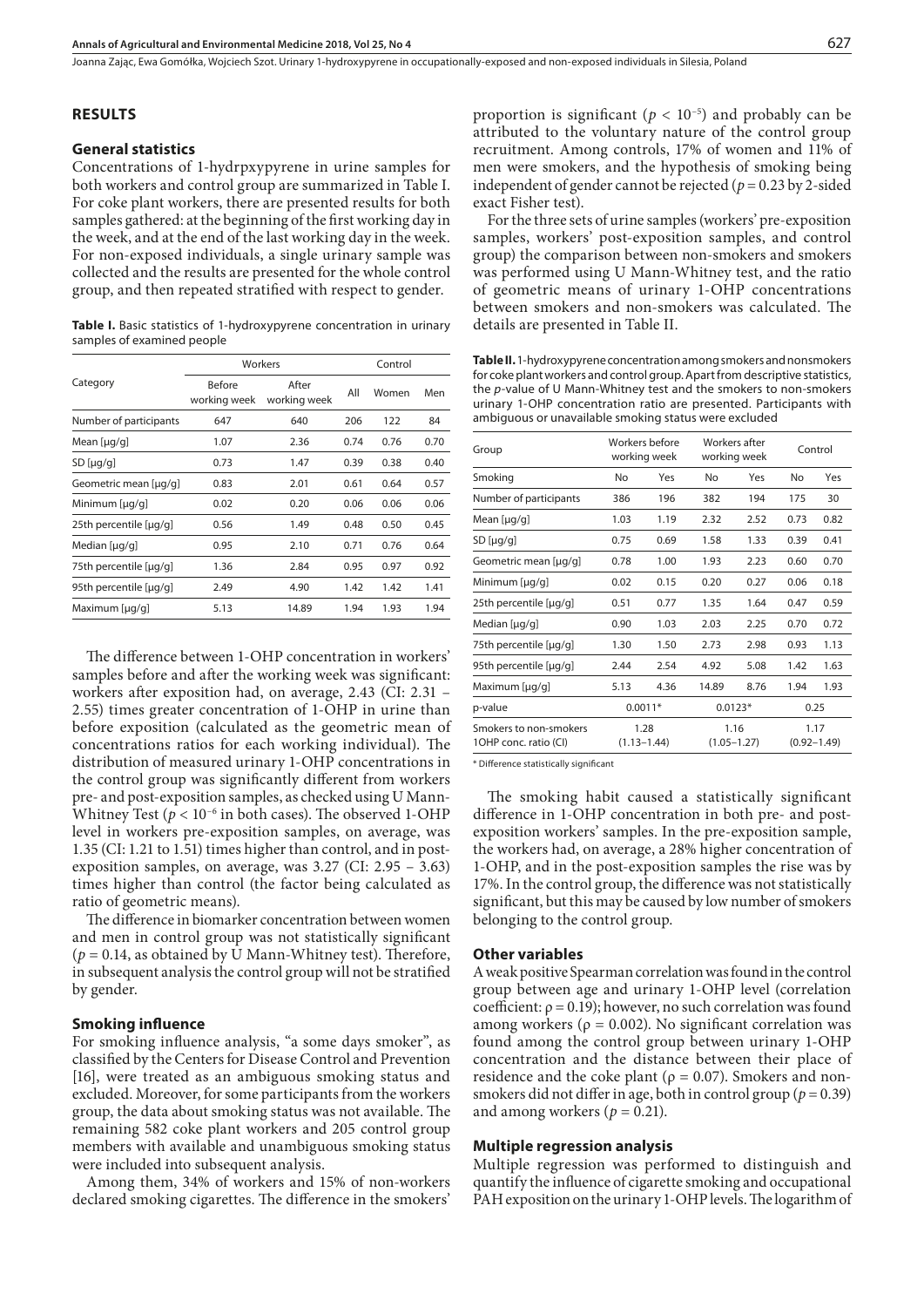Joanna Zając, Ewa Gomółka, Wojciech Szot . Urinary 1-hydroxypyrene in occupationally-exposed and non-exposed individuals in Silesia, Poland

#### **RESULTS**

#### **General statistics**

Concentrations of 1-hydrpxypyrene in urine samples for both workers and control group are summarized in Table I. For coke plant workers, there are presented results for both samples gathered: at the beginning of the first working day in the week, and at the end of the last working day in the week. For non-exposed individuals, a single urinary sample was collected and the results are presented for the whole control group, and then repeated stratified with respect to gender.

Table I. Basic statistics of 1-hydroxypyrene concentration in urinary samples of examined people

| Category               |                               | Workers               | Control |       |      |
|------------------------|-------------------------------|-----------------------|---------|-------|------|
|                        | <b>Before</b><br>working week | After<br>working week | All     | Women | Men  |
| Number of participants | 647                           | 640                   | 206     | 122   | 84   |
| Mean [ $\mu$ g/g]      | 1.07                          | 2.36                  | 0.74    | 0.76  | 0.70 |
| SD [µg/g]              | 0.73                          | 1.47                  | 0.39    | 0.38  | 0.40 |
| Geometric mean [µq/q]  | 0.83                          | 2.01                  | 0.61    | 0.64  | 0.57 |
| Minimum [µg/g]         | 0.02                          | 0.20                  | 0.06    | 0.06  | 0.06 |
| 25th percentile [µq/q] | 0.56                          | 1.49                  | 0.48    | 0.50  | 0.45 |
| Median $[\mu q/q]$     | 0.95                          | 2.10                  | 0.71    | 0.76  | 0.64 |
| 75th percentile [µg/g] | 1.36                          | 2.84                  | 0.95    | 0.97  | 0.92 |
| 95th percentile [µg/g] | 2.49                          | 4.90                  | 1.42    | 1.42  | 1.41 |
| Maximum [µg/g]         | 5.13                          | 14.89                 | 1.94    | 1.93  | 1.94 |

The difference between 1-OHP concentration in workers' samples before and after the working week was significant: workers after exposition had, on average, 2.43 (CI: 2.31 – 2.55) times greater concentration of 1-OHP in urine than before exposition (calculated as the geometric mean of concentrations ratios for each working individual). The distribution of measured urinary 1-OHP concentrations in the control group was significantly different from workers pre- and post-exposition samples, as checked using U Mann-Whitney Test ( $p < 10^{-6}$  in both cases). The observed 1-OHP level in workers pre-exposition samples, on average, was 1.35 (CI: 1.21 to 1.51) times higher than control, and in postexposition samples, on average, was 3.27 (CI: 2.95 – 3.63) times higher than control (the factor being calculated as ratio of geometric means).

The difference in biomarker concentration between women and men in control group was not statistically significant  $(p = 0.14$ , as obtained by U Mann-Whitney test). Therefore, in subsequent analysis the control group will not be stratified by gender.

## **Smoking influence**

For smoking influence analysis, "a some days smoker", as classified by the Centers for Disease Control and Prevention [16], were treated as an ambiguous smoking status and excluded. Moreover, for some participants from the workers group, the data about smoking status was not available. The remaining 582 coke plant workers and 205 control group members with available and unambiguous smoking status were included into subsequent analysis.

Among them, 34% of workers and 15% of non-workers declared smoking cigarettes. The difference in the smokers' proportion is significant ( $p < 10^{-5}$ ) and probably can be attributed to the voluntary nature of the control group recruitment. Among controls, 17% of women and 11% of men were smokers, and the hypothesis of smoking being independent of gender cannot be rejected ( $p = 0.23$  by 2-sided exact Fisher test).

For the three sets of urine samples (workers' pre-exposition samples, workers' post-exposition samples, and control group) the comparison between non-smokers and smokers was performed using U Mann-Whitney test, and the ratio of geometric means of urinary 1-OHP concentrations between smokers and non-smokers was calculated. The details are presented in Table II.

**Table II.** 1-hydroxypyrene concentration among smokers and nonsmokers for coke plant workers and control group. Apart from descriptive statistics, the *p*-value of U Mann-Whitney test and the smokers to non-smokers urinary 1-OHP concentration ratio are presented. Participants with ambiguous or unavailable smoking status were excluded

| Group                                           | Workers before<br>Workers after<br>working week<br>working week |                         |           | Control                 |      |                         |
|-------------------------------------------------|-----------------------------------------------------------------|-------------------------|-----------|-------------------------|------|-------------------------|
| Smoking                                         | No                                                              | Yes                     | No        | Yes                     | No   | Yes                     |
| Number of participants                          | 386                                                             | 196                     | 382       | 194                     | 175  | 30                      |
| Mean [ $\mu$ g/g]                               | 1.03                                                            | 1.19                    | 2.32      | 2.52                    | 0.73 | 0.82                    |
| SD[µq/q]                                        | 0.75                                                            | 0.69                    | 1.58      | 1.33                    | 0.39 | 0.41                    |
| Geometric mean [µg/g]                           | 0.78                                                            | 1.00                    | 1.93      | 2.23                    | 0.60 | 0.70                    |
| Minimum [µg/g]                                  | 0.02                                                            | 0.15                    | 0.20      | 0.27                    | 0.06 | 0.18                    |
| 25th percentile [µg/g]                          | 0.51                                                            | 0.77                    | 1.35      | 1.64                    | 0.47 | 0.59                    |
| Median [µg/g]                                   | 0.90                                                            | 1.03                    | 2.03      | 2.25                    | 0.70 | 0.72                    |
| 75th percentile [µg/g]                          | 1.30                                                            | 1.50                    | 2.73      | 2.98                    | 0.93 | 1.13                    |
| 95th percentile [µg/g]                          | 2.44                                                            | 2.54                    | 4.92      | 5.08                    | 1.42 | 1.63                    |
| Maximum [µg/g]                                  | 5.13                                                            | 4.36                    | 14.89     | 8.76                    | 1.94 | 1.93                    |
| p-value                                         | $0.0011*$                                                       |                         | $0.0123*$ |                         | 0.25 |                         |
| Smokers to non-smokers<br>1OHP conc. ratio (CI) |                                                                 | 1.28<br>$(1.13 - 1.44)$ |           | 1.16<br>$(1.05 - 1.27)$ |      | 1.17<br>$(0.92 - 1.49)$ |

\* Difference statistically significant

The smoking habit caused a statistically significant difference in 1-OHP concentration in both pre- and postexposition workers' samples. In the pre-exposition sample, the workers had, on average, a 28% higher concentration of 1-OHP, and in the post-exposition samples the rise was by 17%. In the control group, the difference was not statistically significant, but this may be caused by low number of smokers belonging to the control group.

## **Other variables**

A weak positive Spearman correlation was found in the control group between age and urinary 1-OHP level (correlation coefficient:  $\rho = 0.19$ ); however, no such correlation was found among workers ( $ρ = 0.002$ ). No significant correlation was found among the control group between urinary 1-OHP concentration and the distance between their place of residence and the coke plant ( $\rho = 0.07$ ). Smokers and nonsmokers did not differ in age, both in control group (*p* = 0.39) and among workers ( $p = 0.21$ ).

#### **Multiple regression analysis**

Multiple regression was performed to distinguish and quantify the influence of cigarette smoking and occupational PAH exposition on the urinary 1-OHP levels. The logarithm of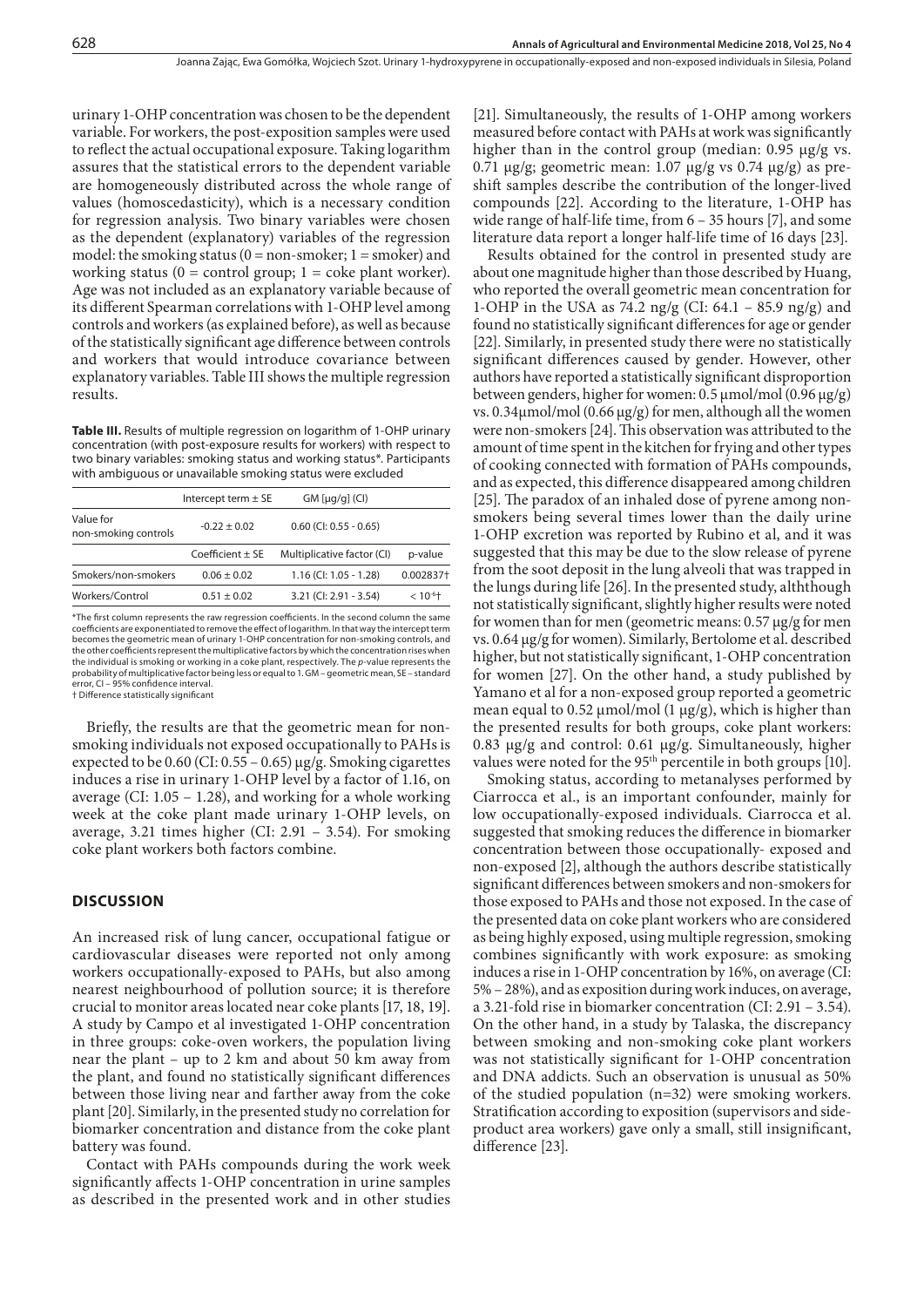urinary 1-OHP concentration was chosen to be the dependent variable. For workers, the post-exposition samples were used to reflect the actual occupational exposure. Taking logarithm assures that the statistical errors to the dependent variable are homogeneously distributed across the whole range of values (homoscedasticity), which is a necessary condition for regression analysis. Two binary variables were chosen as the dependent (explanatory) variables of the regression model: the smoking status  $(0 = non-smoker; 1 = smoker)$  and working status ( $0 =$  control group;  $1 =$  coke plant worker). Age was not included as an explanatory variable because of its different Spearman correlations with 1-OHP level among controls and workers (as explained before), as well as because of the statistically significant age difference between controls and workers that would introduce covariance between explanatory variables. Table III shows the multiple regression results.

**Table III.** Results of multiple regression on logarithm of 1-OHP urinary concentration (with post-exposure results for workers) with respect to two binary variables: smoking status and working status\*. Participants with ambiguous or unavailable smoking status were excluded

|                                   | Intercept term $\pm$ SE | $GM$ [µg/g] $(Cl)$          |               |
|-----------------------------------|-------------------------|-----------------------------|---------------|
| Value for<br>non-smoking controls | $-0.22 \pm 0.02$        | $0.60$ (CI: $0.55 - 0.65$ ) |               |
|                                   | $Coefficient + SE$      | Multiplicative factor (CI)  | p-value       |
| Smokers/non-smokers               | $0.06 + 0.02$           | $1.16$ (CI: 1.05 - 1.28)    | 0.002837+     |
| Workers/Control                   | $0.51 \pm 0.02$         | 3.21 (CI: 2.91 - 3.54)      | $< 10^{-6}$ + |
|                                   |                         |                             |               |

\*The first column represents the raw regression coefficients. In the second column the same coefficients are exponentiated to remove the effect of logarithm. In that way the intercept term becomes the geometric mean of urinary 1-OHP concentration for non-smoking controls, and the other coefficients represent the multiplicative factors by which the concentration rises when the individual is smoking or working in a coke plant, respectively. The *p*-value represents the probability of multiplicative factor being less or equal to 1. GM – geometric mean, SE – standard error, CI – 95% confidence interval. † Difference statistically significant

Briefly, the results are that the geometric mean for nonsmoking individuals not exposed occupationally to PAHs is expected to be 0.60 (CI: 0.55 – 0.65) μg/g. Smoking cigarettes induces a rise in urinary 1-OHP level by a factor of 1.16, on average (CI: 1.05 – 1.28), and working for a whole working week at the coke plant made urinary 1-OHP levels, on average, 3.21 times higher (CI: 2.91 – 3.54). For smoking coke plant workers both factors combine.

## **DISCUSSION**

An increased risk of lung cancer, occupational fatigue or cardiovascular diseases were reported not only among workers occupationally-exposed to PAHs, but also among nearest neighbourhood of pollution source; it is therefore crucial to monitor areas located near coke plants [17, 18, 19]. A study by Campo et al investigated 1-OHP concentration in three groups: coke-oven workers, the population living near the plant – up to 2 km and about 50 km away from the plant, and found no statistically significant differences between those living near and farther away from the coke plant [20]. Similarly, in the presented study no correlation for biomarker concentration and distance from the coke plant battery was found.

Contact with PAHs compounds during the work week significantly affects 1-OHP concentration in urine samples as described in the presented work and in other studies

[21]. Simultaneously, the results of 1-OHP among workers measured before contact with PAHs at work was significantly higher than in the control group (median: 0.95 μg/g vs. 0.71 μg/g; geometric mean: 1.07 μg/g vs 0.74 μg/g) as preshift samples describe the contribution of the longer-lived compounds [22]. According to the literature, 1-OHP has wide range of half-life time, from 6 – 35 hours [7], and some literature data report a longer half-life time of 16 days [23].

Results obtained for the control in presented study are about one magnitude higher than those described by Huang, who reported the overall geometric mean concentration for 1-OHP in the USA as 74.2 ng/g (CI: 64.1 – 85.9 ng/g) and found no statistically significant differences for age or gender [22]. Similarly, in presented study there were no statistically significant differences caused by gender. However, other authors have reported a statistically significant disproportion between genders, higher for women: 0.5 μmol/mol (0.96 μg/g) vs. 0.34μmol/mol (0.66 μg/g) for men, although all the women were non-smokers [24]. This observation was attributed to the amount of time spent in the kitchen for frying and other types of cooking connected with formation of PAHs compounds, and as expected, this difference disappeared among children [25]. The paradox of an inhaled dose of pyrene among nonsmokers being several times lower than the daily urine 1-OHP excretion was reported by Rubino et al, and it was suggested that this may be due to the slow release of pyrene from the soot deposit in the lung alveoli that was trapped in the lungs during life [26]. In the presented study, alththough not statistically significant, slightly higher results were noted for women than for men (geometric means: 0.57 μg/g for men vs. 0.64 μg/g for women). Similarly, Bertolome et al. described higher, but not statistically significant, 1-OHP concentration for women [27]. On the other hand, a study published by Yamano et al for a non-exposed group reported a geometric mean equal to 0.52  $\mu$ mol/mol (1  $\mu$ g/g), which is higher than the presented results for both groups, coke plant workers: 0.83 μg/g and control: 0.61 μg/g. Simultaneously, higher values were noted for the 95<sup>th</sup> percentile in both groups [10].

Smoking status, according to metanalyses performed by Ciarrocca et al., is an important confounder, mainly for low occupationally-exposed individuals. Ciarrocca et al. suggested that smoking reduces the difference in biomarker concentration between those occupationally- exposed and non-exposed [2], although the authors describe statistically significant differences between smokers and non-smokers for those exposed to PAHs and those not exposed. In the case of the presented data on coke plant workers who are considered as being highly exposed, using multiple regression, smoking combines significantly with work exposure: as smoking induces a rise in 1-OHP concentration by 16%, on average (CI: 5% – 28%), and as exposition during work induces, on average, a 3.21-fold rise in biomarker concentration (CI: 2.91 – 3.54). On the other hand, in a study by Talaska, the discrepancy between smoking and non-smoking coke plant workers was not statistically significant for 1-OHP concentration and DNA addicts. Such an observation is unusual as 50% of the studied population (n=32) were smoking workers. Stratification according to exposition (supervisors and sideproduct area workers) gave only a small, still insignificant, difference [23].